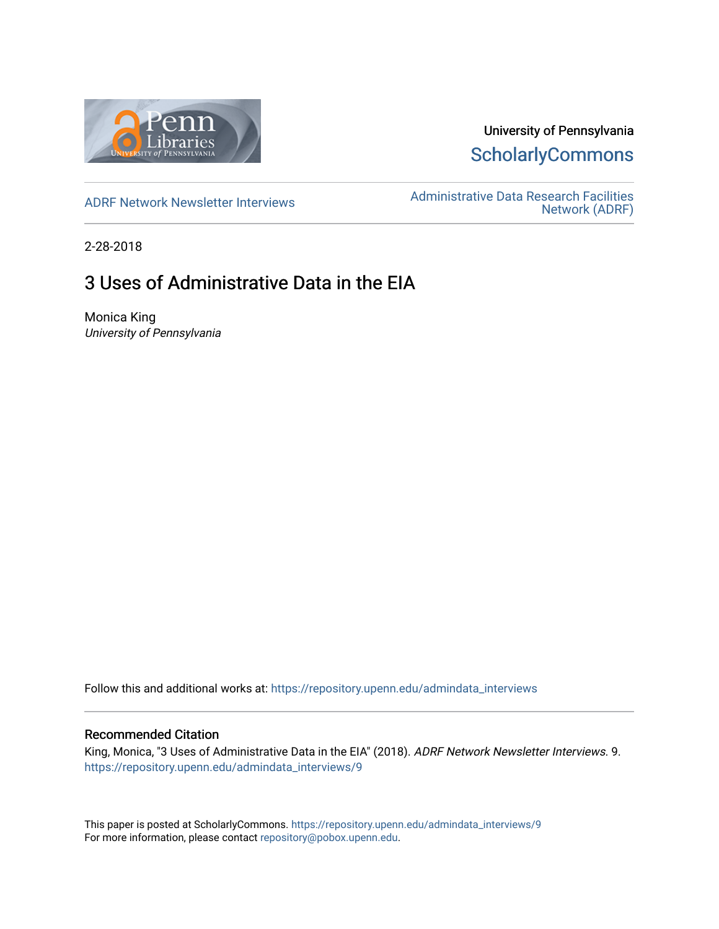

## University of Pennsylvania **ScholarlyCommons**

[ADRF Network Newsletter Interviews](https://repository.upenn.edu/admindata_interviews) [Administrative Data Research Facilities](https://repository.upenn.edu/admindata)  [Network \(ADRF\)](https://repository.upenn.edu/admindata) 

2-28-2018

# 3 Uses of Administrative Data in the EIA

Monica King University of Pennsylvania

Follow this and additional works at: [https://repository.upenn.edu/admindata\\_interviews](https://repository.upenn.edu/admindata_interviews?utm_source=repository.upenn.edu%2Fadmindata_interviews%2F9&utm_medium=PDF&utm_campaign=PDFCoverPages) 

#### Recommended Citation

King, Monica, "3 Uses of Administrative Data in the EIA" (2018). ADRF Network Newsletter Interviews. 9. [https://repository.upenn.edu/admindata\\_interviews/9](https://repository.upenn.edu/admindata_interviews/9?utm_source=repository.upenn.edu%2Fadmindata_interviews%2F9&utm_medium=PDF&utm_campaign=PDFCoverPages) 

This paper is posted at ScholarlyCommons. [https://repository.upenn.edu/admindata\\_interviews/9](https://repository.upenn.edu/admindata_interviews/9) For more information, please contact [repository@pobox.upenn.edu.](mailto:repository@pobox.upenn.edu)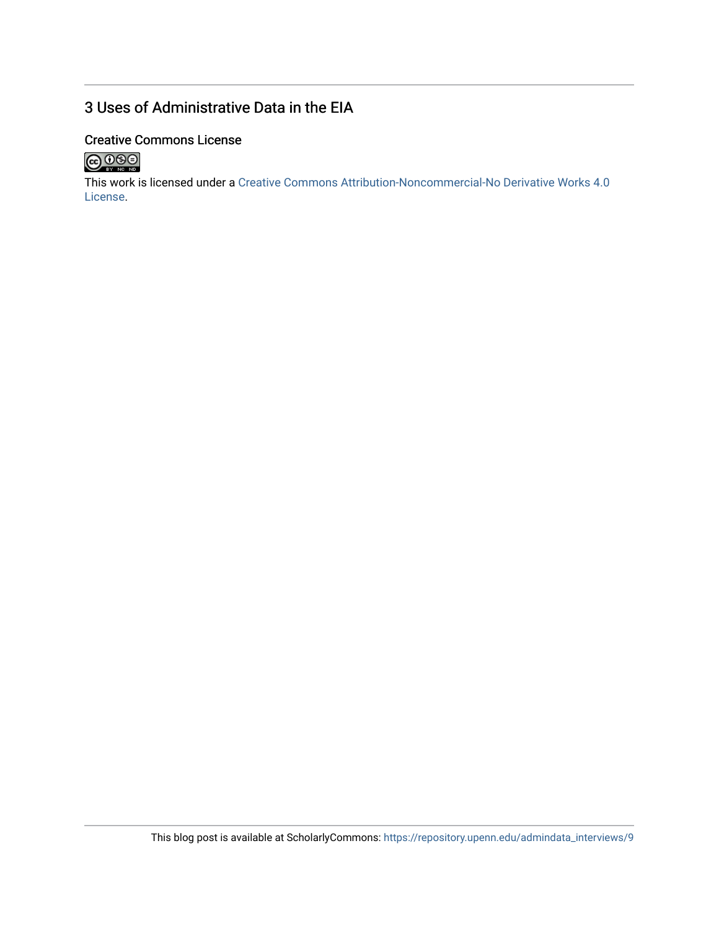## 3 Uses of Administrative Data in the EIA

### Creative Commons License



This work is licensed under a [Creative Commons Attribution-Noncommercial-No Derivative Works 4.0](http://creativecommons.org/licenses/by-nc-nd/4.0/) [License](http://creativecommons.org/licenses/by-nc-nd/4.0/).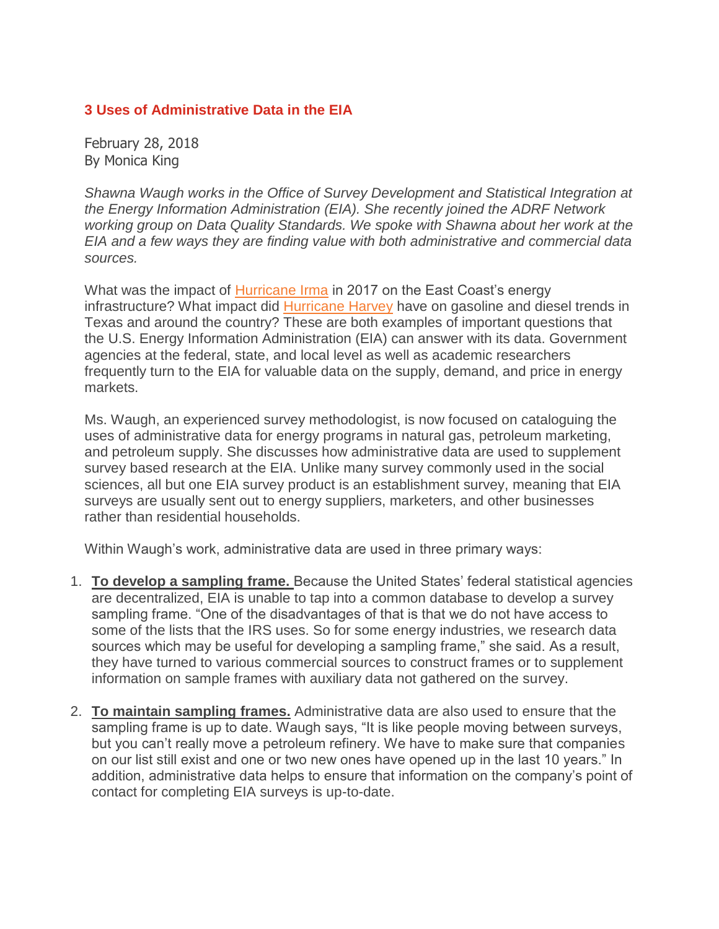### **3 Uses of Administrative Data in the EIA**

February 28, 2018 By Monica King

*Shawna Waugh works in the Office of Survey Development and Statistical Integration at the Energy Information Administration (EIA). She recently joined the ADRF Network working group on Data Quality Standards. We spoke with Shawna about her work at the EIA and a few ways they are finding value with both administrative and commercial data sources.*

What was the impact of [Hurricane](https://www.eia.gov/todayinenergy/detail.php?id=32832) Irma in 2017 on the East Coast's energy infrastructure? What impact did [Hurricane](https://www.eia.gov/todayinenergy/detail.php?id=32752) Harvey have on gasoline and diesel trends in Texas and around the country? These are both examples of important questions that the U.S. Energy Information Administration (EIA) can answer with its data. Government agencies at the federal, state, and local level as well as academic researchers frequently turn to the EIA for valuable data on the supply, demand, and price in energy markets.

Ms. Waugh, an experienced survey methodologist, is now focused on cataloguing the uses of administrative data for energy programs in natural gas, petroleum marketing, and petroleum supply. She discusses how administrative data are used to supplement survey based research at the EIA. Unlike many survey commonly used in the social sciences, all but one EIA survey product is an establishment survey, meaning that EIA surveys are usually sent out to energy suppliers, marketers, and other businesses rather than residential households.

Within Waugh's work, administrative data are used in three primary ways:

- 1. **To develop a sampling frame.** Because the United States' federal statistical agencies are decentralized, EIA is unable to tap into a common database to develop a survey sampling frame. "One of the disadvantages of that is that we do not have access to some of the lists that the IRS uses. So for some energy industries, we research data sources which may be useful for developing a sampling frame," she said. As a result, they have turned to various commercial sources to construct frames or to supplement information on sample frames with auxiliary data not gathered on the survey.
- 2. **To maintain sampling frames.** Administrative data are also used to ensure that the sampling frame is up to date. Waugh says, "It is like people moving between surveys, but you can't really move a petroleum refinery. We have to make sure that companies on our list still exist and one or two new ones have opened up in the last 10 years." In addition, administrative data helps to ensure that information on the company's point of contact for completing EIA surveys is up-to-date.